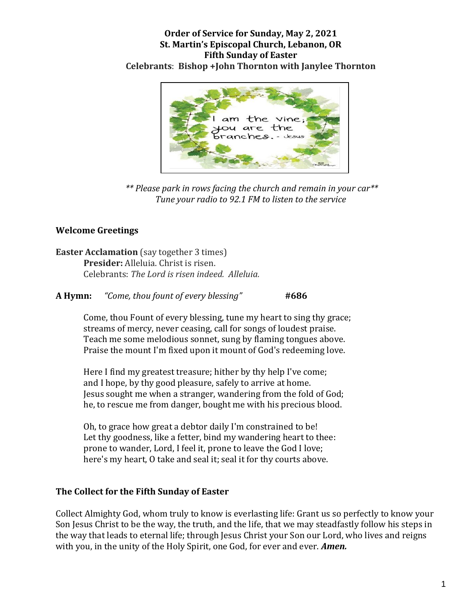#### **Order of Service for Sunday, May 2, 2021 St. Martin's Episcopal Church, Lebanon, OR Fifth Sunday of Easter Celebrants**: **Bishop +John Thornton with Janylee Thornton**



*\*\* Please park in rows facing the church and remain in your car\*\* Tune your radio to 92.1 FM to listen to the service*

# **Welcome Greetings**

**Easter Acclamation** (say together 3 times) **Presider:** Alleluia. Christ is risen. Celebrants: *The Lord is risen indeed. Alleluia.*

**A Hymn:** *"Come, thou fount of every blessing"* **#686**

Come, thou Fount of every blessing, tune my heart to sing thy grace; streams of mercy, never ceasing, call for songs of loudest praise. Teach me some melodious sonnet, sung by flaming tongues above. Praise the mount I'm fixed upon it mount of God's redeeming love.

Here I find my greatest treasure; hither by thy help I've come; and I hope, by thy good pleasure, safely to arrive at home. Jesus sought me when a stranger, wandering from the fold of God; he, to rescue me from danger, bought me with his precious blood.

Oh, to grace how great a debtor daily I'm constrained to be! Let thy goodness, like a fetter, bind my wandering heart to thee: prone to wander, Lord, I feel it, prone to leave the God I love; here's my heart, O take and seal it; seal it for thy courts above.

## **The Collect for the Fifth Sunday of Easter**

Collect Almighty God, whom truly to know is everlasting life: Grant us so perfectly to know your Son Jesus Christ to be the way, the truth, and the life, that we may steadfastly follow his steps in the way that leads to eternal life; through Jesus Christ your Son our Lord, who lives and reigns with you, in the unity of the Holy Spirit, one God, for ever and ever. *Amen.*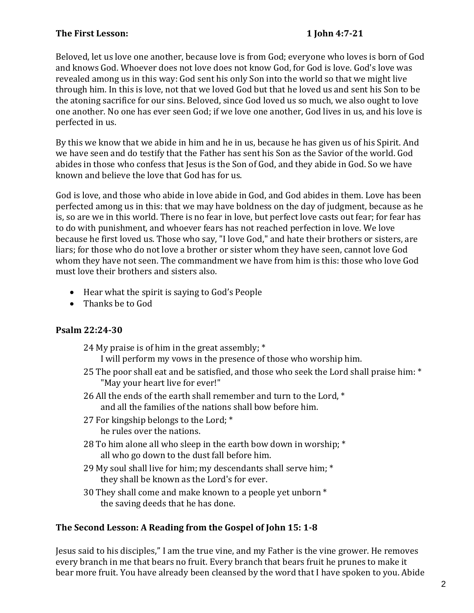## **The First Lesson: 1 John 4:7-21**

Beloved, let us love one another, because love is from God; everyone who loves is born of God and knows God. Whoever does not love does not know God, for God is love. God's love was revealed among us in this way: God sent his only Son into the world so that we might live through him. In this is love, not that we loved God but that he loved us and sent his Son to be the atoning sacrifice for our sins. Beloved, since God loved us so much, we also ought to love one another. No one has ever seen God; if we love one another, God lives in us, and his love is perfected in us.

By this we know that we abide in him and he in us, because he has given us of his Spirit. And we have seen and do testify that the Father has sent his Son as the Savior of the world. God abides in those who confess that Jesus is the Son of God, and they abide in God. So we have known and believe the love that God has for us.

God is love, and those who abide in love abide in God, and God abides in them. Love has been perfected among us in this: that we may have boldness on the day of judgment, because as he is, so are we in this world. There is no fear in love, but perfect love casts out fear; for fear has to do with punishment, and whoever fears has not reached perfection in love. We love because he first loved us. Those who say, "I love God," and hate their brothers or sisters, are liars; for those who do not love a brother or sister whom they have seen, cannot love God whom they have not seen. The commandment we have from him is this: those who love God must love their brothers and sisters also.

- Hear what the spirit is saying to God's People
- Thanks be to God

# **Psalm 22:24-30**

- 24 My praise is of him in the great assembly; \* I will perform my vows in the presence of those who worship him.
- 25 The poor shall eat and be satisfied, and those who seek the Lord shall praise him: \* "May your heart live for ever!"
- 26 All the ends of the earth shall remember and turn to the Lord, \* and all the families of the nations shall bow before him.
- 27 For kingship belongs to the Lord; \* he rules over the nations.
- 28 To him alone all who sleep in the earth bow down in worship; \* all who go down to the dust fall before him.
- 29 My soul shall live for him; my descendants shall serve him; \* they shall be known as the Lord's for ever.
- 30 They shall come and make known to a people yet unborn \* the saving deeds that he has done.

# **The Second Lesson: A Reading from the Gospel of John 15: 1-8**

Jesus said to his disciples," I am the true vine, and my Father is the vine grower. He removes every branch in me that bears no fruit. Every branch that bears fruit he prunes to make it bear more fruit. You have already been cleansed by the word that I have spoken to you. Abide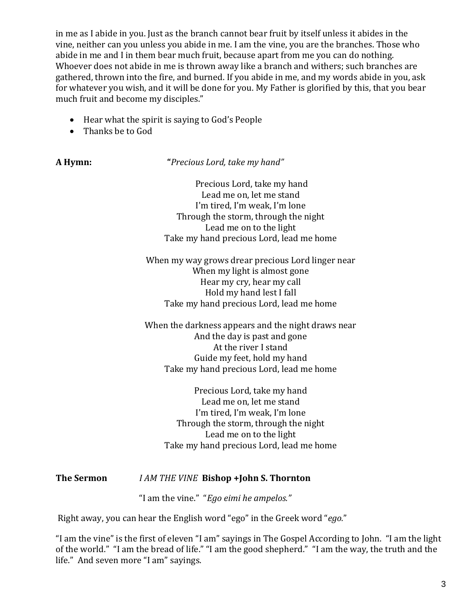in me as I abide in you. Just as the branch cannot bear fruit by itself unless it abides in the vine, neither can you unless you abide in me. I am the vine, you are the branches. Those who abide in me and I in them bear much fruit, because apart from me you can do nothing. Whoever does not abide in me is thrown away like a branch and withers; such branches are gathered, thrown into the fire, and burned. If you abide in me, and my words abide in you, ask for whatever you wish, and it will be done for you. My Father is glorified by this, that you bear much fruit and become my disciples."

- Hear what the spirit is saying to God's People
- Thanks be to God

**A Hymn: "***Precious Lord, take my hand"*

Precious Lord, take my hand Lead me on, let me stand I'm tired, I'm weak, I'm lone Through the storm, through the night Lead me on to the light Take my hand precious Lord, lead me home

When my way grows drear precious Lord linger near When my light is almost gone Hear my cry, hear my call Hold my hand lest I fall Take my hand precious Lord, lead me home

When the darkness appears and the night draws near And the day is past and gone At the river I stand Guide my feet, hold my hand Take my hand precious Lord, lead me home

Precious Lord, take my hand Lead me on, let me stand I'm tired, I'm weak, I'm lone Through the storm, through the night Lead me on to the light Take my hand precious Lord, lead me home

## **The Sermon** *I AM THE VINE* **Bishop +John S. Thornton**

"I am the vine." "*Ego eimi he ampelos."* 

Right away, you can hear the English word "ego" in the Greek word "*ego.*"

"I am the vine" is the first of eleven "I am" sayings in The Gospel According to John. "I am the light of the world." "I am the bread of life." "I am the good shepherd." "I am the way, the truth and the life." And seven more "I am" sayings.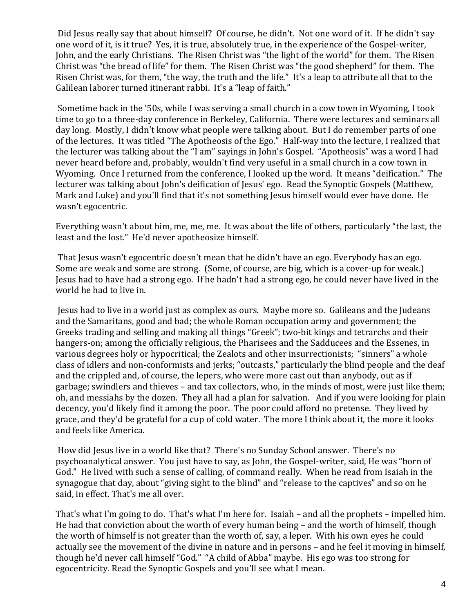Did Jesus really say that about himself? Of course, he didn't. Not one word of it. If he didn't say one word of it, is it true? Yes, it is true, absolutely true, in the experience of the Gospel-writer, John, and the early Christians. The Risen Christ was "the light of the world" for them. The Risen Christ was "the bread of life" for them. The Risen Christ was "the good shepherd" for them. The Risen Christ was, for them, "the way, the truth and the life." It's a leap to attribute all that to the Galilean laborer turned itinerant rabbi. It's a "leap of faith."

Sometime back in the '50s, while I was serving a small church in a cow town in Wyoming, I took time to go to a three-day conference in Berkeley, California. There were lectures and seminars all day long. Mostly, I didn't know what people were talking about. But I do remember parts of one of the lectures. It was titled "The Apotheosis of the Ego." Half-way into the lecture, I realized that the lecturer was talking about the "I am" sayings in John's Gospel. "Apotheosis" was a word I had never heard before and, probably, wouldn't find very useful in a small church in a cow town in Wyoming. Once I returned from the conference, I looked up the word. It means "deification." The lecturer was talking about John's deification of Jesus' ego. Read the Synoptic Gospels (Matthew, Mark and Luke) and you'll find that it's not something Jesus himself would ever have done. He wasn't egocentric.

Everything wasn't about him, me, me, me. It was about the life of others, particularly "the last, the least and the lost." He'd never apotheosize himself.

That Jesus wasn't egocentric doesn't mean that he didn't have an ego. Everybody has an ego. Some are weak and some are strong. (Some, of course, are big, which is a cover-up for weak.) Jesus had to have had a strong ego. If he hadn't had a strong ego, he could never have lived in the world he had to live in.

Jesus had to live in a world just as complex as ours. Maybe more so. Galileans and the Judeans and the Samaritans, good and bad; the whole Roman occupation army and government; the Greeks trading and selling and making all things "Greek"; two-bit kings and tetrarchs and their hangers-on; among the officially religious, the Pharisees and the Sadducees and the Essenes, in various degrees holy or hypocritical; the Zealots and other insurrectionists; "sinners" a whole class of idlers and non-conformists and jerks; "outcasts," particularly the blind people and the deaf and the crippled and, of course, the lepers, who were more cast out than anybody, out as if garbage; swindlers and thieves – and tax collectors, who, in the minds of most, were just like them; oh, and messiahs by the dozen. They all had a plan for salvation. And if you were looking for plain decency, you'd likely find it among the poor. The poor could afford no pretense. They lived by grace, and they'd be grateful for a cup of cold water. The more I think about it, the more it looks and feels like America.

How did Jesus live in a world like that? There's no Sunday School answer. There's no psychoanalytical answer. You just have to say, as John, the Gospel-writer, said, He was "born of God." He lived with such a sense of calling, of command really. When he read from Isaiah in the synagogue that day, about "giving sight to the blind" and "release to the captives" and so on he said, in effect. That's me all over.

That's what I'm going to do. That's what I'm here for. Isaiah – and all the prophets – impelled him. He had that conviction about the worth of every human being – and the worth of himself, though the worth of himself is not greater than the worth of, say, a leper. With his own eyes he could actually see the movement of the divine in nature and in persons – and he feel it moving in himself, though he'd never call himself "God." "A child of Abba" maybe. His ego was too strong for egocentricity. Read the Synoptic Gospels and you'll see what I mean.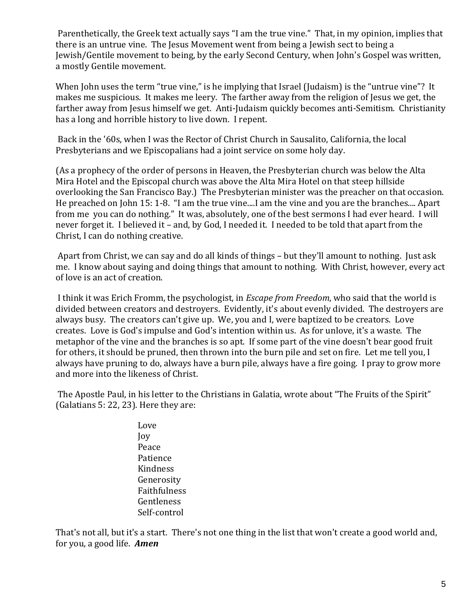Parenthetically, the Greek text actually says "I am the true vine." That, in my opinion, implies that there is an untrue vine. The Jesus Movement went from being a Jewish sect to being a Jewish/Gentile movement to being, by the early Second Century, when John's Gospel was written, a mostly Gentile movement.

When John uses the term "true vine," is he implying that Israel (Judaism) is the "untrue vine"? It makes me suspicious. It makes me leery. The farther away from the religion of Jesus we get, the farther away from Jesus himself we get. Anti-Judaism quickly becomes anti-Semitism. Christianity has a long and horrible history to live down. I repent.

Back in the '60s, when I was the Rector of Christ Church in Sausalito, California, the local Presbyterians and we Episcopalians had a joint service on some holy day.

(As a prophecy of the order of persons in Heaven, the Presbyterian church was below the Alta Mira Hotel and the Episcopal church was above the Alta Mira Hotel on that steep hillside overlooking the San Francisco Bay.) The Presbyterian minister was the preacher on that occasion. He preached on John 15: 1-8. "I am the true vine....I am the vine and you are the branches.... Apart from me you can do nothing." It was, absolutely, one of the best sermons I had ever heard. I will never forget it. I believed it – and, by God, I needed it. I needed to be told that apart from the Christ, I can do nothing creative.

Apart from Christ, we can say and do all kinds of things – but they'll amount to nothing. Just ask me. I know about saying and doing things that amount to nothing. With Christ, however, every act of love is an act of creation.

I think it was Erich Fromm, the psychologist, in *Escape from Freedom*, who said that the world is divided between creators and destroyers. Evidently, it's about evenly divided. The destroyers are always busy. The creators can't give up. We, you and I, were baptized to be creators. Love creates. Love is God's impulse and God's intention within us. As for unlove, it's a waste. The metaphor of the vine and the branches is so apt. If some part of the vine doesn't bear good fruit for others, it should be pruned, then thrown into the burn pile and set on fire. Let me tell you, I always have pruning to do, always have a burn pile, always have a fire going. I pray to grow more and more into the likeness of Christ.

The Apostle Paul, in his letter to the Christians in Galatia, wrote about "The Fruits of the Spirit" (Galatians 5: 22, 23). Here they are:

> Love Joy Peace Patience Kindness Generosity Faithfulness Gentleness Self-control

That's not all, but it's a start. There's not one thing in the list that won't create a good world and, for you, a good life. *Amen*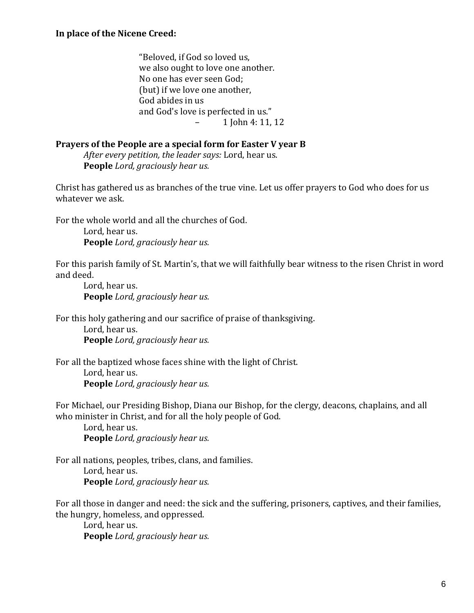"Beloved, if God so loved us, we also ought to love one another. No one has ever seen God; (but) if we love one another, God abides in us and God's love is perfected in us." – 1 John 4: 11, 12

#### **Prayers of the People are a special form for Easter V year B**

*After every petition, the leader says:* Lord, hear us. **People** *Lord, graciously hear us.*

Christ has gathered us as branches of the true vine. Let us offer prayers to God who does for us whatever we ask.

For the whole world and all the churches of God.

Lord, hear us. **People** *Lord, graciously hear us.*

For this parish family of St. Martin's, that we will faithfully bear witness to the risen Christ in word and deed.

Lord, hear us. **People** *Lord, graciously hear us.*

For this holy gathering and our sacrifice of praise of thanksgiving.

Lord, hear us. **People** *Lord, graciously hear us.*

For all the baptized whose faces shine with the light of Christ. Lord, hear us. **People** *Lord, graciously hear us.*

For Michael, our Presiding Bishop, Diana our Bishop, for the clergy, deacons, chaplains, and all who minister in Christ, and for all the holy people of God.

Lord, hear us. **People** *Lord, graciously hear us.*

For all nations, peoples, tribes, clans, and families. Lord, hear us. **People** *Lord, graciously hear us.*

For all those in danger and need: the sick and the suffering, prisoners, captives, and their families, the hungry, homeless, and oppressed.

Lord, hear us. **People** *Lord, graciously hear us.*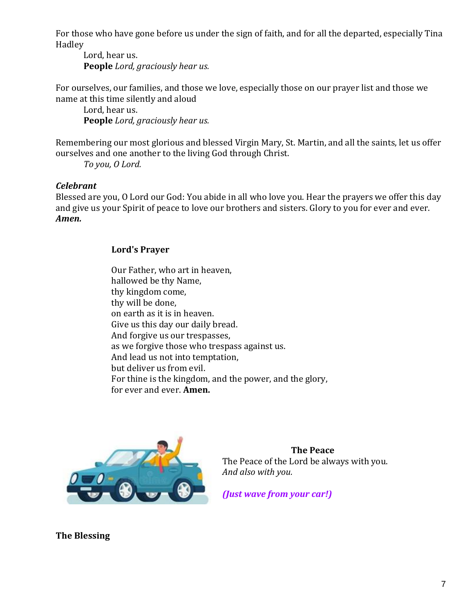For those who have gone before us under the sign of faith, and for all the departed, especially Tina Hadley

Lord, hear us. **People** *Lord, graciously hear us.*

For ourselves, our families, and those we love, especially those on our prayer list and those we name at this time silently and aloud

Lord, hear us. **People** *Lord, graciously hear us.*

Remembering our most glorious and blessed Virgin Mary, St. Martin, and all the saints, let us offer ourselves and one another to the living God through Christ.

*To you, O Lord.*

## *Celebrant*

Blessed are you, O Lord our God: You abide in all who love you. Hear the prayers we offer this day and give us your Spirit of peace to love our brothers and sisters. Glory to you for ever and ever. *Amen.*

## **Lord's Prayer**

Our Father, who art in heaven, hallowed be thy Name, thy kingdom come, thy will be done, on earth as it is in heaven. Give us this day our daily bread. And forgive us our trespasses, as we forgive those who trespass against us. And lead us not into temptation, but deliver us from evil. For thine is the kingdom, and the power, and the glory, for ever and ever. **Amen.**



 **The Peace**  The Peace of the Lord be always with you. *And also with you.*

*(Just wave from your car!)*

**The Blessing**